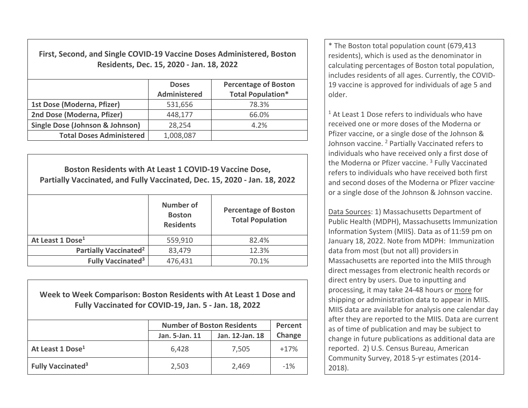**First, Second, and Single COVID‐19 Vaccine Doses Administered, Boston Residents, Dec. 15, 2020 ‐ Jan. 18, 2022**

|                                 | <b>Doses</b><br><b>Administered</b> | <b>Percentage of Boston</b><br><b>Total Population*</b> |  |
|---------------------------------|-------------------------------------|---------------------------------------------------------|--|
| 1st Dose (Moderna, Pfizer)      | 531,656                             | 78.3%                                                   |  |
| 2nd Dose (Moderna, Pfizer)      | 448,177                             | 66.0%                                                   |  |
| Single Dose (Johnson & Johnson) | 28,254                              | 4.2%                                                    |  |
| <b>Total Doses Administered</b> | 1,008,087                           |                                                         |  |

| Boston Residents with At Least 1 COVID-19 Vaccine Dose,<br>Partially Vaccinated, and Fully Vaccinated, Dec. 15, 2020 - Jan. 18, 2022 |                                                |                                                        |  |  |
|--------------------------------------------------------------------------------------------------------------------------------------|------------------------------------------------|--------------------------------------------------------|--|--|
|                                                                                                                                      | Number of<br><b>Boston</b><br><b>Residents</b> | <b>Percentage of Boston</b><br><b>Total Population</b> |  |  |
| At Least 1 Dose <sup>1</sup>                                                                                                         | 559,910                                        | 82.4%                                                  |  |  |
| <b>Partially Vaccinated<sup>2</sup></b>                                                                                              | 83,479                                         | 12.3%                                                  |  |  |
| <b>Fully Vaccinated<sup>3</sup></b>                                                                                                  | 476,431                                        | 70.1%                                                  |  |  |

**Week to Week Comparison: Boston Residents with At Least 1 Dose andFully Vaccinated for COVID‐19, Jan. 5 ‐ Jan. 18, 2022**

|                                     | <b>Number of Boston Residents</b> |                 | Percent |
|-------------------------------------|-----------------------------------|-----------------|---------|
|                                     | Jan. 5-Jan. 11                    | Jan. 12-Jan. 18 | Change  |
| At Least 1 Dose <sup>1</sup>        | 6,428                             | 7,505           | $+17%$  |
| <b>Fully Vaccinated<sup>3</sup></b> | 2,503                             | 2,469           | $-1%$   |

\* The Boston total population count (679,413 residents), which is used as the denominator in calculating percentages of Boston total population, includes residents of all ages. Currently, the COVID‐ 19 vaccine is approved for individuals of age 5 andolder.

 $1$  At Least 1 Dose refers to individuals who have received one or more doses of the Moderna or Pfizer vaccine, or <sup>a</sup> single dose of the Johnson & Johnson vaccine. <sup>2</sup> Partially Vaccinated refers to individuals who have received only <sup>a</sup> first dose of the Moderna or Pfizer vaccine. <sup>3</sup> Fully Vaccinated refers to individuals who have received both first and second doses of the Moderna or Pfizer vaccine, or a single dose of the Johnson & Johnson vaccine.

Data Sources: 1) Massachusetts Department of Public Health (MDPH), Massachusetts Immunization Information System (MIIS). Data as of 11:59 pm on January 18, 2022. Note from MDPH: Immunization data from most (but not all) providersin Massachusetts are reported into the MIIS through direct messages from electronic health records or direct entry by users. Due to inputting and processing, it may take 24‐48 hours or more for shipping or administration data to appear in MIIS. MIIS data are available for analysis one calendar day after they are reported to the MIIS. Data are current as of time of publication and may be subject to change in future publications as additional data are reported. 2) U.S. Census Bureau, American Community Survey, 2018 5‐yr estimates (2014‐ 2018).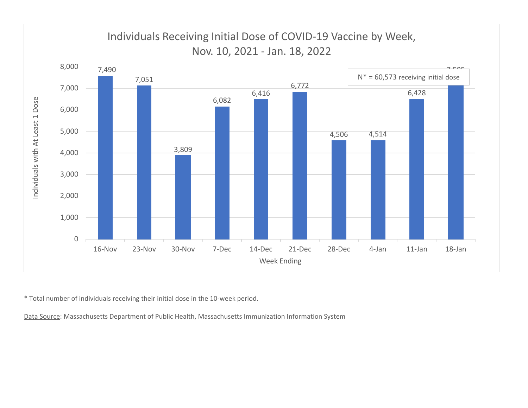

\* Total number of individuals receiving their initial dose in the 10‐week period.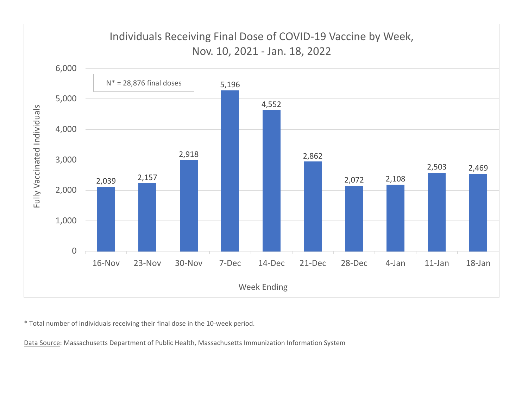

\* Total number of individuals receiving their final dose in the 10‐week period.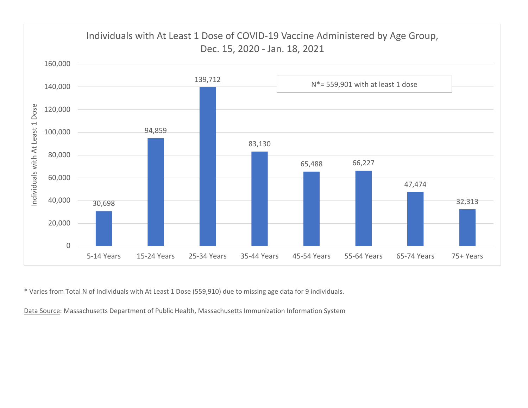

\* Varies from Total N of Individuals with At Least 1 Dose (559,910) due to missing age data for 9 individuals.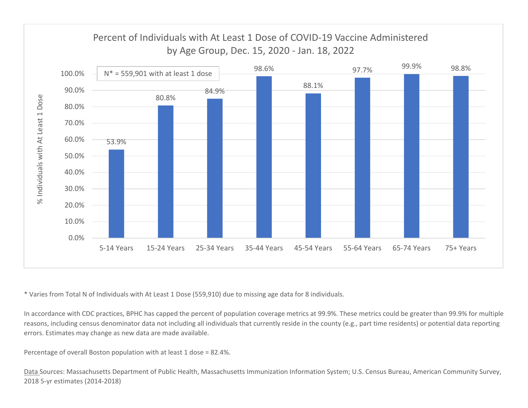

\* Varies from Total N of Individuals with At Least 1 Dose (559,910) due to missing age data for 8 individuals.

In accordance with CDC practices, BPHC has capped the percent of population coverage metrics at 99.9%. These metrics could be greater than 99.9% for multiple reasons, including census denominator data not including all individuals that currently reside in the county (e.g., part time residents) or potential data reporting errors. Estimates may change as new data are made available.

Percentage of overall Boston population with at least 1 dose <sup>=</sup> 82.4%.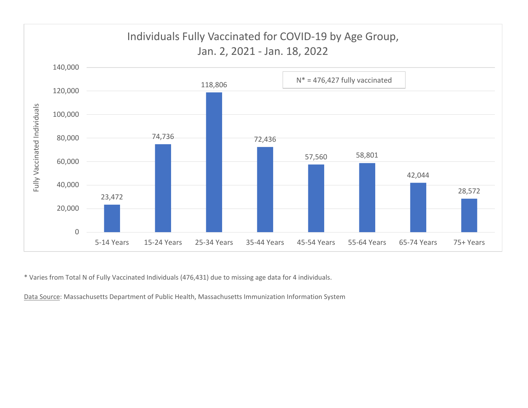

\* Varies from Total N of Fully Vaccinated Individuals (476,431) due to missing age data for 4 individuals.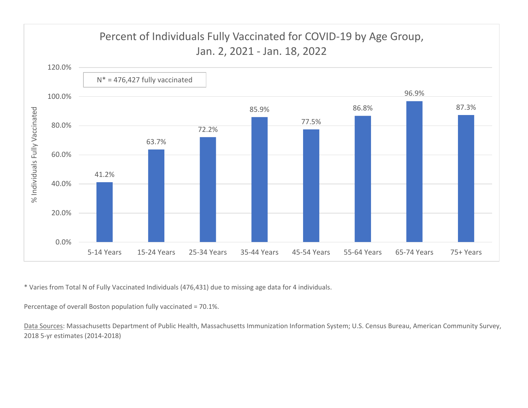

\* Varies from Total N of Fully Vaccinated Individuals (476,431) due to missing age data for 4 individuals.

Percentage of overall Boston population fully vaccinated <sup>=</sup> 70.1%.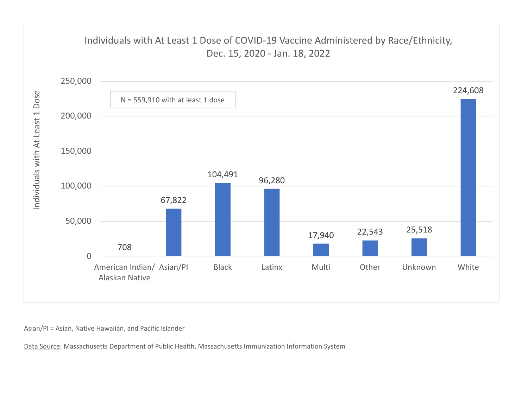

Asian/PI <sup>=</sup> Asian, Native Hawaiian, and Pacific Islander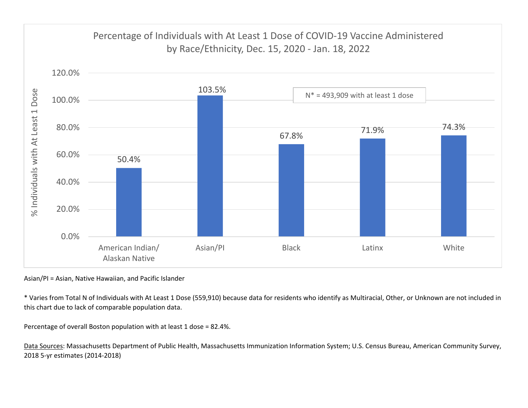

Asian/PI <sup>=</sup> Asian, Native Hawaiian, and Pacific Islander

\* Varies from Total N of Individuals with At Least 1 Dose (559,910) because data for residents who identify as Multiracial, Other, or Unknown are not included in this chart due to lack of comparable population data.

Percentage of overall Boston population with at least 1 dose <sup>=</sup> 82.4%.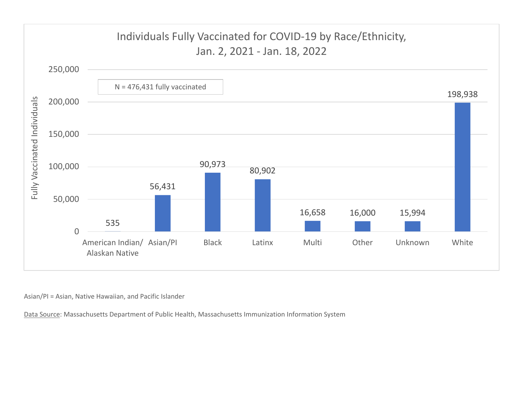

Asian/PI <sup>=</sup> Asian, Native Hawaiian, and Pacific Islander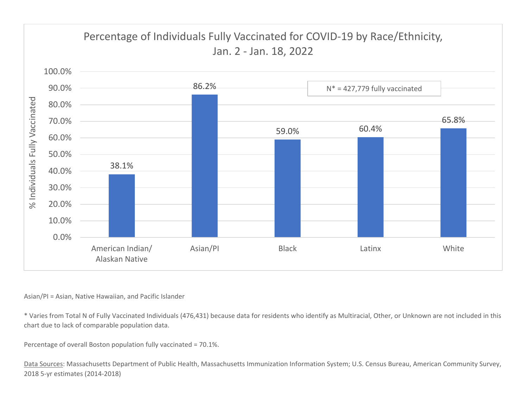

## Asian/PI <sup>=</sup> Asian, Native Hawaiian, and Pacific Islander

\* Varies from Total N of Fully Vaccinated Individuals (476,431) because data for residents who identify as Multiracial, Other, or Unknown are not included in this chart due to lack of comparable population data.

Percentage of overall Boston population fully vaccinated <sup>=</sup> 70.1%.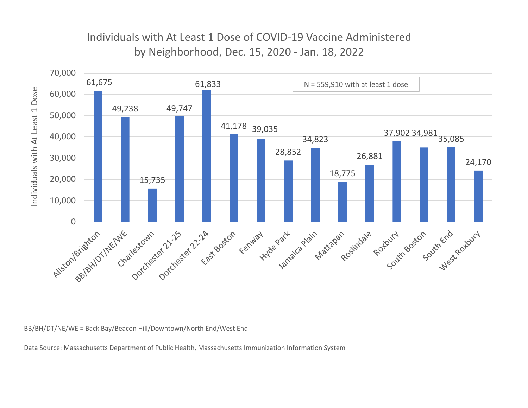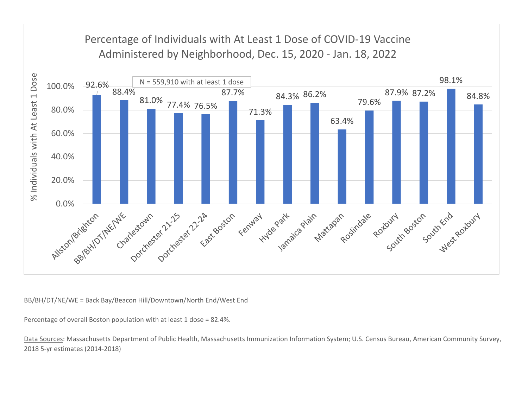

Percentage of overall Boston population with at least 1 dose <sup>=</sup> 82.4%.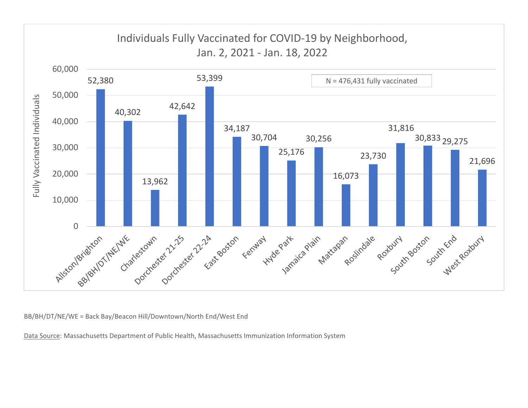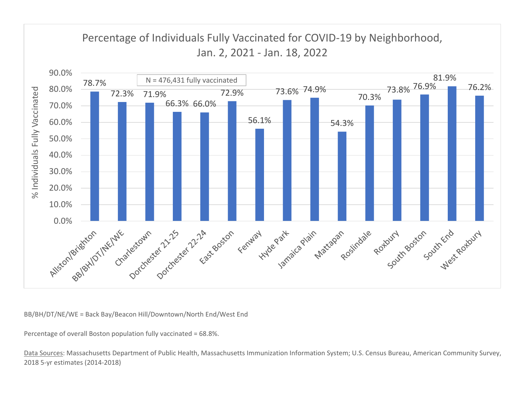

Percentage of overall Boston population fully vaccinated <sup>=</sup> 68.8%.